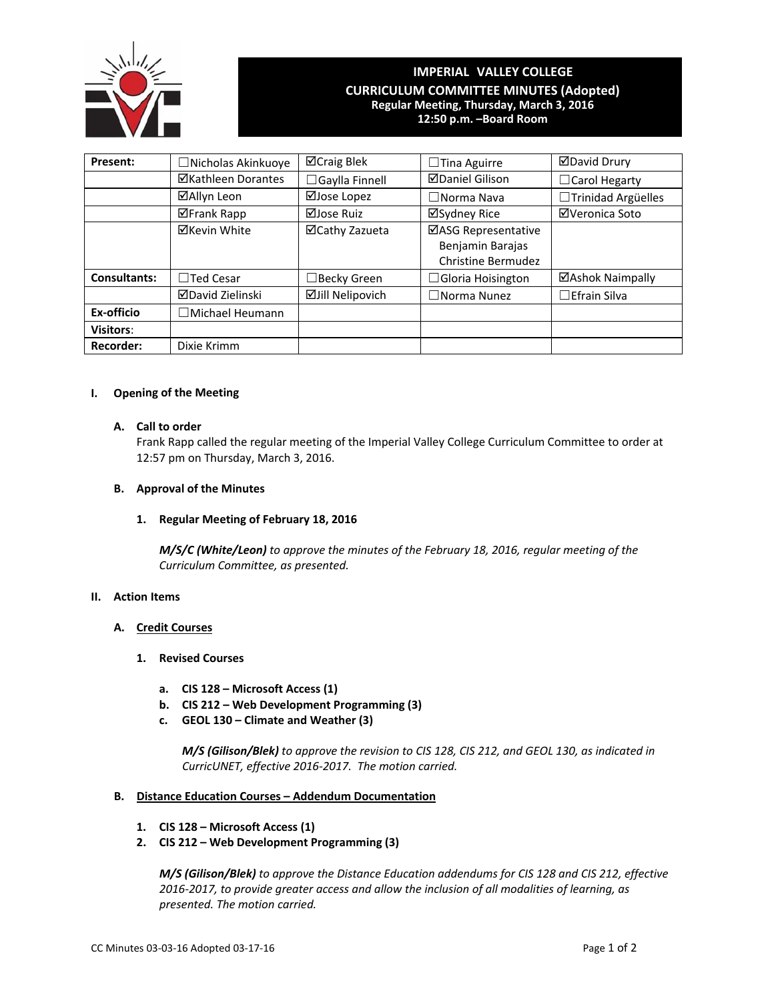

# **IMPERIAL VALLEY COLLEGE CURRICULUM COMMITTEE MINUTES (Adopted) Regular Meeting, Thursday, March 3, 2016 12:50 p.m. –Board Room**

| Present:            | $\Box$ Nicholas Akinkuoye | <b>⊠Craig Blek</b>      | $\Box$ Tina Aguirre       | ⊠David Drury         |
|---------------------|---------------------------|-------------------------|---------------------------|----------------------|
|                     | ⊠Kathleen Dorantes        | $\Box$ Gaylla Finnell   | <b>ØDaniel Gilison</b>    | $\Box$ Carol Hegarty |
|                     | ⊠Allyn Leon               | ⊠Jose Lopez             | $\Box$ Norma Nava         | □Trinidad Argüelles  |
|                     | ⊠Frank Rapp               | $\Box$ Jose Ruiz        | ⊠Sydney Rice              | ⊠Veronica Soto       |
|                     | <b>⊠Kevin White</b>       | ⊠Cathy Zazueta          | ⊠ASG Representative       |                      |
|                     |                           |                         | Benjamin Barajas          |                      |
|                     |                           |                         | <b>Christine Bermudez</b> |                      |
| <b>Consultants:</b> | $\Box$ Ted Cesar          | $\Box$ Becky Green      | $\Box$ Gloria Hoisington  | ⊠Ashok Naimpally     |
|                     | <b>⊠David Zielinski</b>   | <b>ØJill Nelipovich</b> | $\Box$ Norma Nunez        | $\Box$ Efrain Silva  |
| Ex-officio          | $\Box$ Michael Heumann    |                         |                           |                      |
| Visitors:           |                           |                         |                           |                      |
| <b>Recorder:</b>    | Dixie Krimm               |                         |                           |                      |

### **I. Opening of the Meeting**

### **A. Call to order**

Frank Rapp called the regular meeting of the Imperial Valley College Curriculum Committee to order at 12:57 pm on Thursday, March 3, 2016.

# **B. Approval of the Minutes**

## **1. Regular Meeting of February 18, 2016**

*M/S/C (White/Leon) to approve the minutes of the February 18, 2016, regular meeting of the Curriculum Committee, as presented.*

### **II. Action Items**

## **A. Credit Courses**

- **1. Revised Courses**
	- **a. CIS 128 – Microsoft Access (1)**
	- **b. CIS 212 – Web Development Programming (3)**
	- **c. GEOL 130 – Climate and Weather (3)**

*M/S (Gilison/Blek) to approve the revision to CIS 128, CIS 212, and GEOL 130, as indicated in CurricUNET, effective 2016‐2017. The motion carried.*

### **B. Distance Education Courses – Addendum Documentation**

- **1. CIS 128 – Microsoft Access (1)**
- **2. CIS 212 – Web Development Programming (3)**

*M/S (Gilison/Blek) to approve the Distance Education addendums for CIS 128 and CIS 212, effective 2016‐2017, to provide greater access and allow the inclusion of all modalities of learning, as presented. The motion carried.*